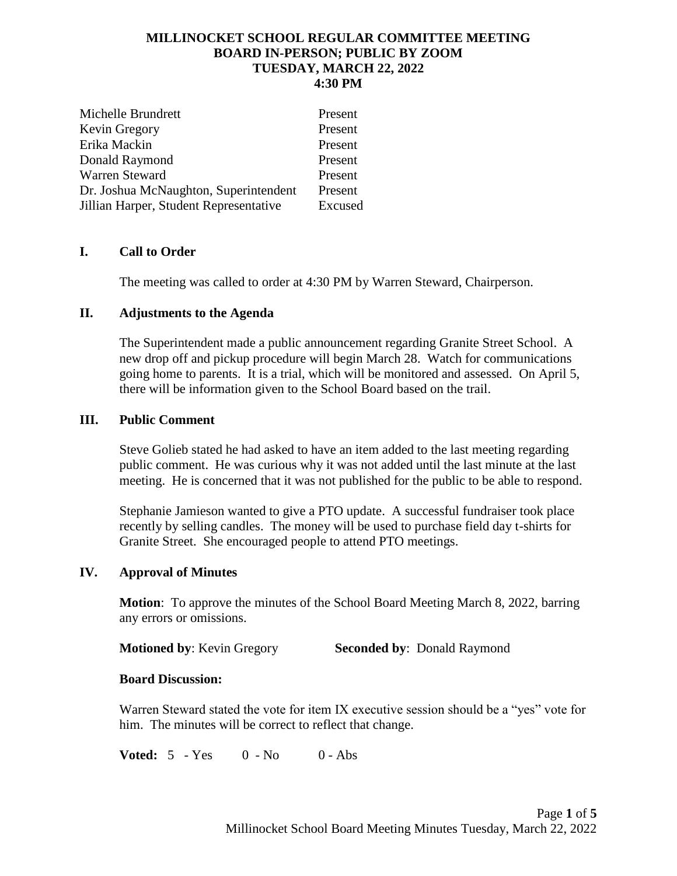### **MILLINOCKET SCHOOL REGULAR COMMITTEE MEETING BOARD IN-PERSON; PUBLIC BY ZOOM TUESDAY, MARCH 22, 2022 4:30 PM**

| Michelle Brundrett                     | Present |
|----------------------------------------|---------|
| Kevin Gregory                          | Present |
| Erika Mackin                           | Present |
| Donald Raymond                         | Present |
| <b>Warren Steward</b>                  | Present |
| Dr. Joshua McNaughton, Superintendent  | Present |
| Jillian Harper, Student Representative | Excused |

## **I. Call to Order**

The meeting was called to order at 4:30 PM by Warren Steward, Chairperson.

## **II. Adjustments to the Agenda**

The Superintendent made a public announcement regarding Granite Street School. A new drop off and pickup procedure will begin March 28. Watch for communications going home to parents. It is a trial, which will be monitored and assessed. On April 5, there will be information given to the School Board based on the trail.

## **III. Public Comment**

Steve Golieb stated he had asked to have an item added to the last meeting regarding public comment. He was curious why it was not added until the last minute at the last meeting. He is concerned that it was not published for the public to be able to respond.

Stephanie Jamieson wanted to give a PTO update. A successful fundraiser took place recently by selling candles. The money will be used to purchase field day t-shirts for Granite Street. She encouraged people to attend PTO meetings.

## **IV. Approval of Minutes**

**Motion**: To approve the minutes of the School Board Meeting March 8, 2022, barring any errors or omissions.

**Motioned by**: Kevin Gregory **Seconded by**: Donald Raymond

## **Board Discussion:**

Warren Steward stated the vote for item IX executive session should be a "yes" vote for him. The minutes will be correct to reflect that change.

**Voted:** 5 - Yes 0 - No 0 - Abs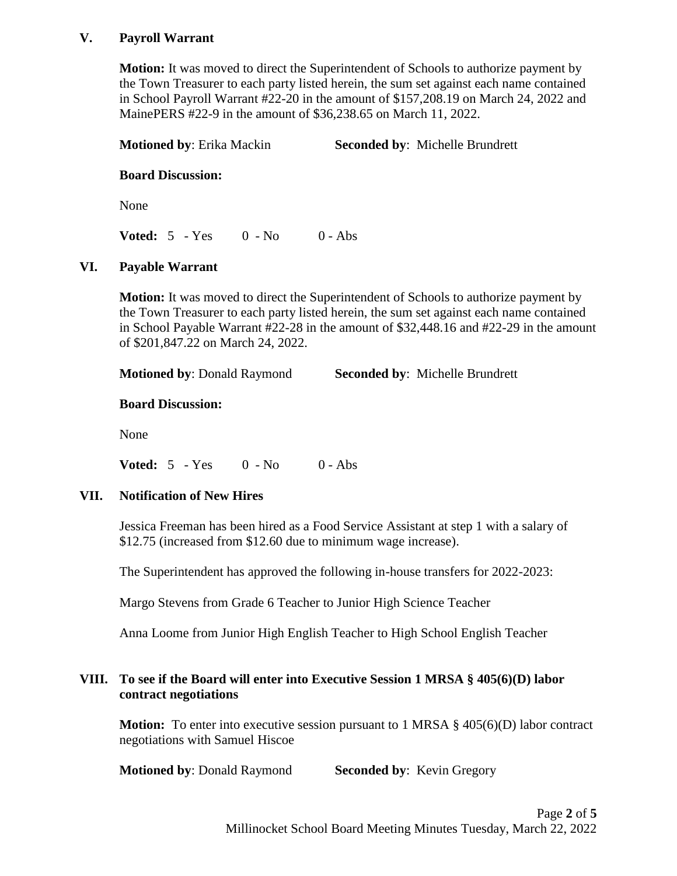## **V. Payroll Warrant**

**Motion:** It was moved to direct the Superintendent of Schools to authorize payment by the Town Treasurer to each party listed herein, the sum set against each name contained in School Payroll Warrant #22-20 in the amount of \$157,208.19 on March 24, 2022 and MainePERS #22-9 in the amount of \$36,238.65 on March 11, 2022.

**Motioned by**: Erika Mackin **Seconded by**: Michelle Brundrett

## **Board Discussion:**

None

**Voted:** 5 - Yes 0 - No 0 - Abs

# **VI. Payable Warrant**

**Motion:** It was moved to direct the Superintendent of Schools to authorize payment by the Town Treasurer to each party listed herein, the sum set against each name contained in School Payable Warrant #22-28 in the amount of \$32,448.16 and #22-29 in the amount of \$201,847.22 on March 24, 2022.

**Motioned by**: Donald Raymond **Seconded by**: Michelle Brundrett

## **Board Discussion:**

None

**Voted:** 5 - Yes 0 - No 0 - Abs

# **VII. Notification of New Hires**

Jessica Freeman has been hired as a Food Service Assistant at step 1 with a salary of \$12.75 (increased from \$12.60 due to minimum wage increase).

The Superintendent has approved the following in-house transfers for 2022-2023:

Margo Stevens from Grade 6 Teacher to Junior High Science Teacher

Anna Loome from Junior High English Teacher to High School English Teacher

# **VIII. To see if the Board will enter into Executive Session 1 MRSA § 405(6)(D) labor contract negotiations**

**Motion:** To enter into executive session pursuant to 1 MRSA § 405(6)(D) labor contract negotiations with Samuel Hiscoe

**Motioned by: Donald Raymond Seconded by: Kevin Gregory**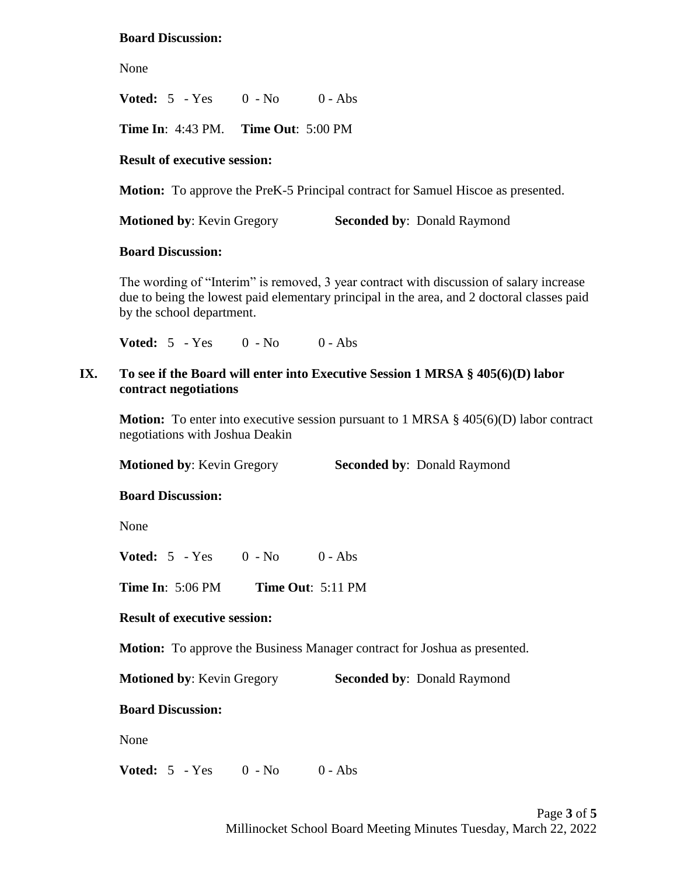### **Board Discussion:**

None

**Voted:** 5 - Yes 0 - No 0 - Abs

**Time In**: 4:43 PM. **Time Out**: 5:00 PM

### **Result of executive session:**

**Motion:** To approve the PreK-5 Principal contract for Samuel Hiscoe as presented.

**Motioned by: Kevin Gregory Seconded by: Donald Raymond** 

#### **Board Discussion:**

The wording of "Interim" is removed, 3 year contract with discussion of salary increase due to being the lowest paid elementary principal in the area, and 2 doctoral classes paid by the school department.

**Voted:** 5 - Yes 0 - No 0 - Abs

## **IX. To see if the Board will enter into Executive Session 1 MRSA § 405(6)(D) labor contract negotiations**

**Motion:** To enter into executive session pursuant to 1 MRSA § 405(6)(D) labor contract negotiations with Joshua Deakin

**Motioned by: Kevin Gregory Seconded by: Donald Raymond** 

#### **Board Discussion:**

None

**Voted:** 5 - Yes 0 - No 0 - Abs

**Time In**: 5:06 PM **Time Out**: 5:11 PM

#### **Result of executive session:**

**Motion:** To approve the Business Manager contract for Joshua as presented.

**Motioned by: Kevin Gregory Seconded by: Donald Raymond** 

## **Board Discussion:**

None

**Voted:** 5 - Yes 0 - No 0 - Abs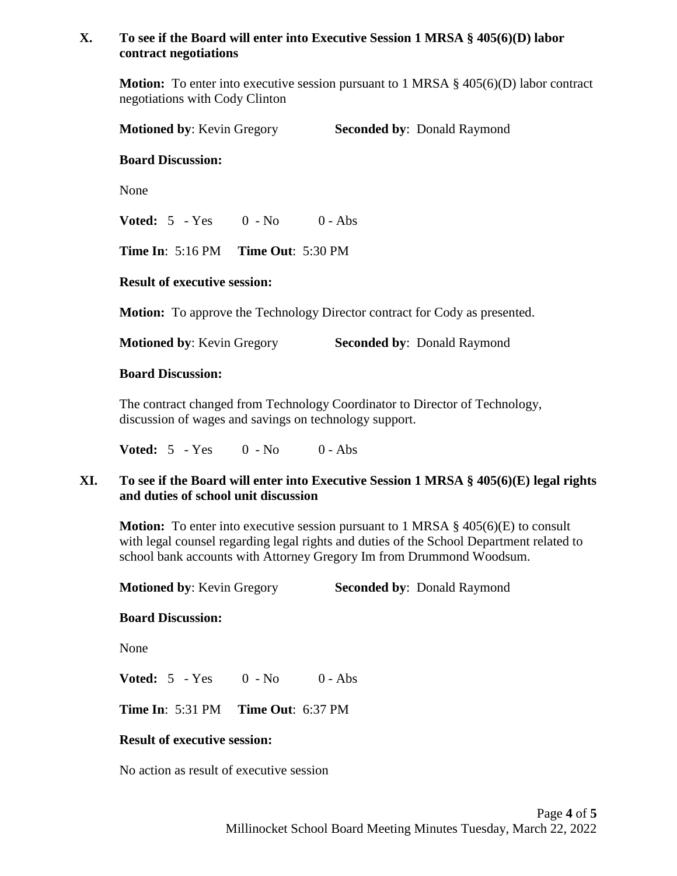# **X. To see if the Board will enter into Executive Session 1 MRSA § 405(6)(D) labor contract negotiations**

**Motion:** To enter into executive session pursuant to 1 MRSA § 405(6)(D) labor contract negotiations with Cody Clinton

**Motioned by: Kevin Gregory <b>Seconded by:** Donald Raymond

### **Board Discussion:**

None

**Voted:** 5 - Yes 0 - No 0 - Abs

**Time In**: 5:16 PM **Time Out**: 5:30 PM

### **Result of executive session:**

**Motion:** To approve the Technology Director contract for Cody as presented.

**Motioned by: Kevin Gregory <b>Seconded by:** Donald Raymond

### **Board Discussion:**

The contract changed from Technology Coordinator to Director of Technology, discussion of wages and savings on technology support.

**Voted:** 5 - Yes 0 - No 0 - Abs

# **XI. To see if the Board will enter into Executive Session 1 MRSA § 405(6)(E) legal rights and duties of school unit discussion**

**Motion:** To enter into executive session pursuant to 1 MRSA § 405(6)(E) to consult with legal counsel regarding legal rights and duties of the School Department related to school bank accounts with Attorney Gregory Im from Drummond Woodsum.

**Motioned by: Kevin Gregory Seconded by: Donald Raymond** 

#### **Board Discussion:**

None

**Voted:** 5 - Yes 0 - No 0 - Abs

**Time In**: 5:31 PM **Time Out**: 6:37 PM

#### **Result of executive session:**

No action as result of executive session